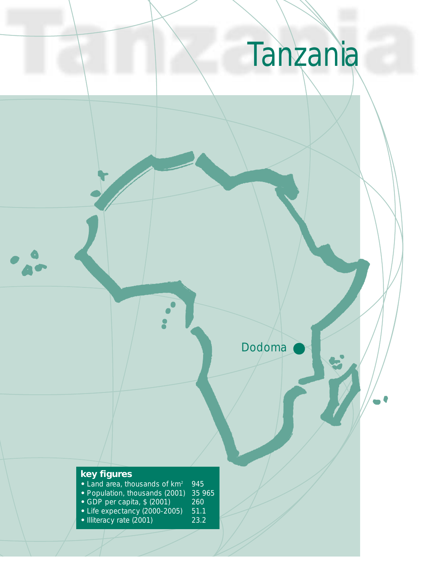# Tanzania

Dodoma

# **key figures**

- 
- Land area, thousands of km<sup>2</sup> 945<br>• Population, thousands (2001) 35 965 • Population, thousands (2001) 35 9<br>• GDP per capita, \$ (2001) 260
- GDP per capita, \$ (2001) 260
- Life expectancy (2000-2005) 51.1
- Illiteracy rate (2001) 23.2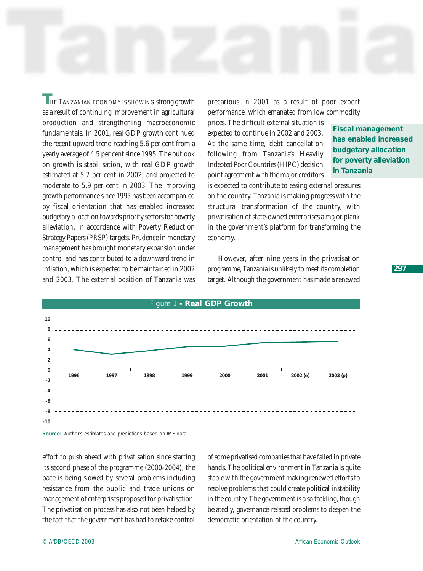**THE TANZANIAN ECONOMY IS SHOWING strong growth** as a result of continuing improvement in agricultural production and strengthening macroeconomic fundamentals. In 2001, real GDP growth continued the recent upward trend reaching 5.6 per cent from a yearly average of 4.5 per cent since 1995. The outlook on growth is stabilisation, with real GDP growth estimated at 5.7 per cent in 2002, and projected to moderate to 5.9 per cent in 2003. The improving growth performance since 1995 has been accompanied by fiscal orientation that has enabled increased budgetary allocation towards priority sectors for poverty alleviation, in accordance with Poverty Reduction Strategy Papers (PRSP) targets. Prudence in monetary management has brought monetary expansion under control and has contributed to a downward trend in inflation, which is expected to be maintained in 2002 and 2003. The external position of Tanzania was

precarious in 2001 as a result of poor export performance, which emanated from low commodity

prices. The difficult external situation is expected to continue in 2002 and 2003. At the same time, debt cancellation following from Tanzania's Heavily Indebted Poor Countries (HIPC) decision point agreement with the major creditors

**Fiscal management has enabled increased budgetary allocation for poverty alleviation in Tanzania**

is expected to contribute to easing external pressures on the country. Tanzania is making progress with the structural transformation of the country, with privatisation of state-owned enterprises a major plank in the government's platform for transforming the economy.

However, after nine years in the privatisation programme, Tanzania is unlikely to meet its completion target. Although the government has made a renewed

| Figure 1 - Real GDP Growth |  |  |                                                                                                    |  |  |  |  |  |
|----------------------------|--|--|----------------------------------------------------------------------------------------------------|--|--|--|--|--|
| 10 <sup>1</sup>            |  |  |                                                                                                    |  |  |  |  |  |
|                            |  |  |                                                                                                    |  |  |  |  |  |
|                            |  |  |                                                                                                    |  |  |  |  |  |
|                            |  |  |                                                                                                    |  |  |  |  |  |
|                            |  |  |                                                                                                    |  |  |  |  |  |
| $\Omega$                   |  |  | $1996$<br>$1997$<br>$1998$<br>$1999$<br>$2000$<br>$2001$<br>$2002$ (e)<br>$2003$ (p)<br>$2003$ (p) |  |  |  |  |  |
|                            |  |  |                                                                                                    |  |  |  |  |  |
|                            |  |  |                                                                                                    |  |  |  |  |  |
| $-8$                       |  |  |                                                                                                    |  |  |  |  |  |
| $-10$                      |  |  |                                                                                                    |  |  |  |  |  |



effort to push ahead with privatisation since starting its second phase of the programme (2000-2004), the pace is being slowed by several problems including resistance from the public and trade unions on management of enterprises proposed for privatisation. The privatisation process has also not been helped by the fact that the government has had to retake control

of some privatised companies that have failed in private hands. The political environment in Tanzania is quite stable with the government making renewed efforts to resolve problems that could create political instability in the country. The government is also tackling, though belatedly, governance-related problems to deepen the democratic orientation of the country.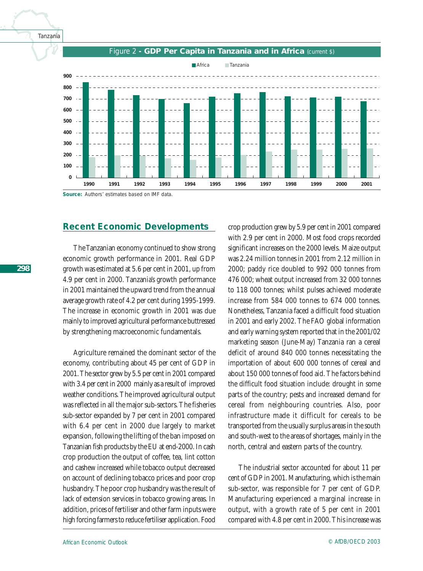



#### Figure 2 **- GDP Per Capita in Tanzania and in Africa** (current \$)

**Source:** Authors' estimates based on IMF data.

# **Recent Economic Developments**

The Tanzanian economy continued to show strong economic growth performance in 2001. Real GDP growth was estimated at 5.6 per cent in 2001, up from 4.9 per cent in 2000. Tanzania's growth performance in 2001 maintained the upward trend from the annual average growth rate of 4.2 per cent during 1995-1999. The increase in economic growth in 2001 was due mainly to improved agricultural performance buttressed by strengthening macroeconomic fundamentals.

Agriculture remained the dominant sector of the economy, contributing about 45 per cent of GDP in 2001. The sector grew by 5.5 per cent in 2001 compared with 3.4 per cent in 2000 mainly as a result of improved weather conditions. The improved agricultural output was reflected in all the major sub-sectors. The fisheries sub-sector expanded by 7 per cent in 2001 compared with 6.4 per cent in 2000 due largely to market expansion, following the lifting of the ban imposed on Tanzanian fish products by the EU at end-2000. In cash crop production the output of coffee, tea, lint cotton and cashew increased while tobacco output decreased on account of declining tobacco prices and poor crop husbandry. The poor crop husbandry was the result of lack of extension services in tobacco growing areas. In addition, prices of fertiliser and other farm inputs were high forcing farmers to reduce fertiliser application. Food

crop production grew by 5.9 per cent in 2001 compared with 2.9 per cent in 2000. Most food crops recorded significant increases on the 2000 levels. Maize output was 2.24 million tonnes in 2001 from 2.12 million in 2000; paddy rice doubled to 992 000 tonnes from 476 000; wheat output increased from 32 000 tonnes to 118 000 tonnes; whilst pulses achieved moderate increase from 584 000 tonnes to 674 000 tonnes. Nonetheless, Tanzania faced a difficult food situation in 2001 and early 2002. The FAO global information and early warning system reported that in the 2001/02 marketing season (June-May) Tanzania ran a cereal deficit of around 840 000 tonnes necessitating the importation of about 600 000 tonnes of cereal and about 150 000 tonnes of food aid. The factors behind the difficult food situation include: drought in some parts of the country; pests and increased demand for cereal from neighbouring countries. Also, poor infrastructure made it difficult for cereals to be transported from the usually surplus areas in the south and south-west to the areas of shortages, mainly in the north, central and eastern parts of the country.

The industrial sector accounted for about 11 per cent of GDP in 2001. Manufacturing, which is the main sub-sector, was responsible for 7 per cent of GDP. Manufacturing experienced a marginal increase in output, with a growth rate of 5 per cent in 2001 compared with 4.8 per cent in 2000. This increase was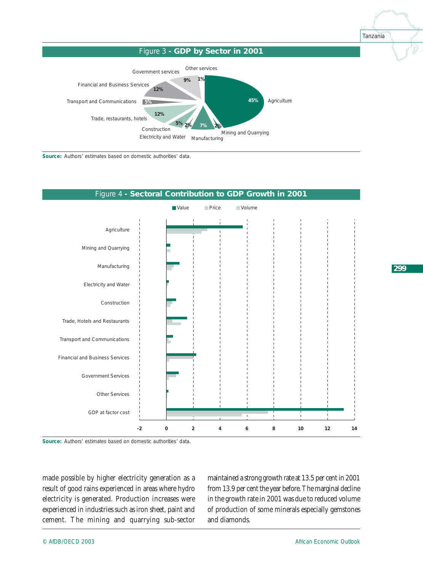Tanzania





**Source:** Authors' estimates based on domestic authorities' data.



**Source:** Authors' estimates based on domestic authorities' data.

made possible by higher electricity generation as a result of good rains experienced in areas where hydro electricity is generated. Production increases were experienced in industries such as iron sheet, paint and cement. The mining and quarrying sub-sector

maintained a strong growth rate at 13.5 per cent in 2001 from 13.9 per cent the year before. The marginal decline in the growth rate in 2001 was due to reduced volume of production of some minerals especially gemstones and diamonds.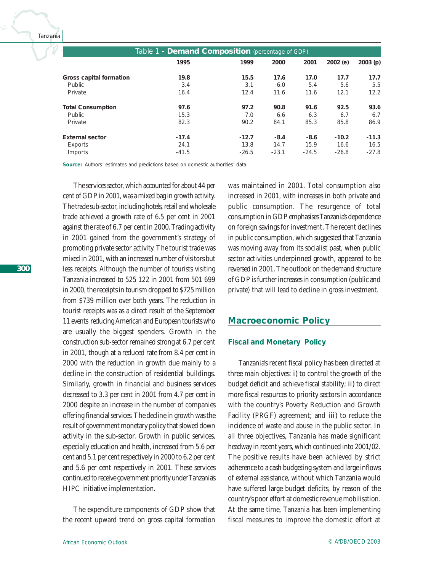| Table 1 - <b>Demand Composition</b> (percentage of GDP) |         |         |         |         |         |         |  |
|---------------------------------------------------------|---------|---------|---------|---------|---------|---------|--|
|                                                         | 1995    | 1999    | 2000    | 2001    | 2002(e) | 2003(p) |  |
| Gross capital formation                                 | 19.8    | 15.5    | 17.6    | 17.0    | 17.7    | 17.7    |  |
| Public                                                  | 3.4     | 3.1     | 6.0     | 5.4     | 5.6     | 5.5     |  |
| Private                                                 | 16.4    | 12.4    | 11.6    | 11.6    | 12.1    | 12.2    |  |
| <b>Total Consumption</b>                                | 97.6    | 97.2    | 90.8    | 91.6    | 92.5    | 93.6    |  |
| Public                                                  | 15.3    | 7.0     | 6.6     | 6.3     | 6.7     | 6.7     |  |
| Private                                                 | 82.3    | 90.2    | 84.1    | 85.3    | 85.8    | 86.9    |  |
| <b>External sector</b>                                  | $-17.4$ | $-12.7$ | $-8.4$  | $-8.6$  | $-10.2$ | $-11.3$ |  |
| Exports                                                 | 24.1    | 13.8    | 14.7    | 15.9    | 16.6    | 16.5    |  |
| Imports                                                 | $-41.5$ | $-26.5$ | $-23.1$ | $-24.5$ | $-26.8$ | $-27.8$ |  |

Source: Authors' estimates and predictions based on domestic authorities' data.

The services sector, which accounted for about 44 per cent of GDP in 2001, was a mixed bag in growth activity. The trade sub-sector, including hotels, retail and wholesale trade achieved a growth rate of 6.5 per cent in 2001 against the rate of 6.7 per cent in 2000. Trading activity in 2001 gained from the government's strategy of promoting private sector activity. The tourist trade was mixed in 2001, with an increased number of visitors but less receipts. Although the number of tourists visiting Tanzania increased to 525 122 in 2001 from 501 699 in 2000, the receipts in tourism dropped to \$725 million from \$739 million over both years. The reduction in tourist receipts was as a direct result of the September 11 events reducing American and European tourists who are usually the biggest spenders. Growth in the construction sub-sector remained strong at 6.7 per cent in 2001, though at a reduced rate from 8.4 per cent in 2000 with the reduction in growth due mainly to a decline in the construction of residential buildings. Similarly, growth in financial and business services decreased to 3.3 per cent in 2001 from 4.7 per cent in 2000 despite an increase in the number of companies offering financial services. The decline in growth was the result of government monetary policy that slowed down activity in the sub-sector. Growth in public services, especially education and health, increased from 5.6 per cent and 5.1 per cent respectively in 2000 to 6.2 per cent and 5.6 per cent respectively in 2001. These services continued to receive government priority under Tanzania's HIPC initiative implementation.

The expenditure components of GDP show that the recent upward trend on gross capital formation

was maintained in 2001. Total consumption also increased in 2001, with increases in both private and public consumption. The resurgence of total consumption in GDP emphasises Tanzania's dependence on foreign savings for investment. The recent declines in public consumption, which suggested that Tanzania was moving away from its socialist past, when public sector activities underpinned growth, appeared to be reversed in 2001. The outlook on the demand structure of GDP is further increases in consumption (public and private) that will lead to decline in gross investment.

# **Macroeconomic Policy**

#### *Fiscal and Monetary Policy*

Tanzania's recent fiscal policy has been directed at three main objectives: *i)* to control the growth of the budget deficit and achieve fiscal stability; *ii)* to direct more fiscal resources to priority sectors in accordance with the country's Poverty Reduction and Growth Facility (PRGF) agreement; and *iii)* to reduce the incidence of waste and abuse in the public sector. In all three objectives, Tanzania has made significant headway in recent years, which continued into 2001/02. The positive results have been achieved by strict adherence to a cash budgeting system and large inflows of external assistance, without which Tanzania would have suffered large budget deficits, by reason of the country's poor effort at domestic revenue mobilisation. At the same time, Tanzania has been implementing fiscal measures to improve the domestic effort at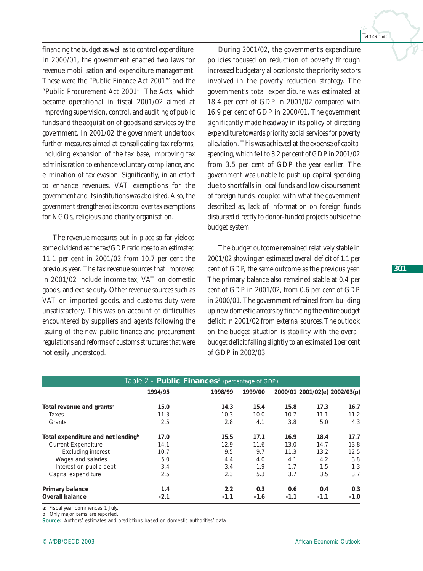financing the budget as well as to control expenditure. In 2000/01, the government enacted two laws for revenue mobilisation and expenditure management. These were the "Public Finance Act 2001"' and the "Public Procurement Act 2001". The Acts, which became operational in fiscal 2001/02 aimed at improving supervision, control, and auditing of public funds and the acquisition of goods and services by the government. In 2001/02 the government undertook further measures aimed at consolidating tax reforms, including expansion of the tax base, improving tax administration to enhance voluntary compliance, and elimination of tax evasion. Significantly, in an effort to enhance revenues, VAT exemptions for the government and its institutions was abolished. Also, the government strengthened its control over tax exemptions for NGOs, religious and charity organisation.

The revenue measures put in place so far yielded some dividend as the tax/GDP ratio rose to an estimated 11.1 per cent in 2001/02 from 10.7 per cent the previous year. The tax revenue sources that improved in 2001/02 include income tax, VAT on domestic goods, and excise duty. Other revenue sources such as VAT on imported goods, and customs duty were unsatisfactory. This was on account of difficulties encountered by suppliers and agents following the issuing of the new public finance and procurement regulations and reforms of customs structures that were not easily understood.

During 2001/02, the government's expenditure policies focused on reduction of poverty through increased budgetary allocations to the priority sectors involved in the poverty reduction strategy. The government's total expenditure was estimated at 18.4 per cent of GDP in 2001/02 compared with 16.9 per cent of GDP in 2000/01. The government significantly made headway in its policy of directing expenditure towards priority social services for poverty alleviation. This was achieved at the expense of capital spending, which fell to 3.2 per cent of GDP in 2001/02 from 3.5 per cent of GDP the year earlier. The government was unable to push up capital spending due to shortfalls in local funds and low disbursement of foreign funds, coupled with what the government described as, lack of information on foreign funds disbursed directly to donor-funded projects outside the budget system.

The budget outcome remained relatively stable in 2001/02 showing an estimated overall deficit of 1.1 per cent of GDP, the same outcome as the previous year. The primary balance also remained stable at 0.4 per cent of GDP in 2001/02, from 0.6 per cent of GDP in 2000/01. The government refrained from building up new domestic arrears by financing the entire budget deficit in 2001/02 from external sources. The outlook on the budget situation is stability with the overall budget deficit falling slightly to an estimated 1per cent of GDP in 2002/03.

| Table 2 - <b>Public Finances</b> <sup>a</sup> (percentage of GDP) |         |         |         |        |                               |        |  |
|-------------------------------------------------------------------|---------|---------|---------|--------|-------------------------------|--------|--|
|                                                                   | 1994/95 | 1998/99 | 1999/00 |        | 2000/01 2001/02(e) 2002/03(p) |        |  |
| Total revenue and grants <sup>b</sup>                             | 15.0    | 14.3    | 15.4    | 15.8   | 17.3                          | 16.7   |  |
| Taxes                                                             | 11.3    | 10.3    | 10.0    | 10.7   | 11.1                          | 11.2   |  |
| Grants                                                            | 2.5     | 2.8     | 4.1     | 3.8    | 5.0                           | 4.3    |  |
| Total expenditure and net lending <sup>b</sup>                    | 17.0    | 15.5    | 17.1    | 16.9   | 18.4                          | 17.7   |  |
| <b>Current Expenditure</b>                                        | 14.1    | 12.9    | 11.6    | 13.0   | 14.7                          | 13.8   |  |
| <b>Excluding interest</b>                                         | 10.7    | 9.5     | 9.7     | 11.3   | 13.2                          | 12.5   |  |
| Wages and salaries                                                | 5.0     | 4.4     | 4.0     | 4.1    | 4.2                           | 3.8    |  |
| Interest on public debt                                           | 3.4     | 3.4     | 1.9     | 1.7    | 1.5                           | 1.3    |  |
| Capital expenditure                                               | 2.5     | 2.3     | 5.3     | 3.7    | 3.5                           | 3.7    |  |
| Primary balance                                                   | 1.4     | 2.2     | 0.3     | 0.6    | 0.4                           | 0.3    |  |
| <b>Overall balance</b>                                            | $-2.1$  | $-1.1$  | $-1.6$  | $-1.1$ | $-1.1$                        | $-1.0$ |  |

a: Fiscal year commences 1 July.

b: Only major items are reported.

Source: Authors' estimates and predictions based on domestic authorities' data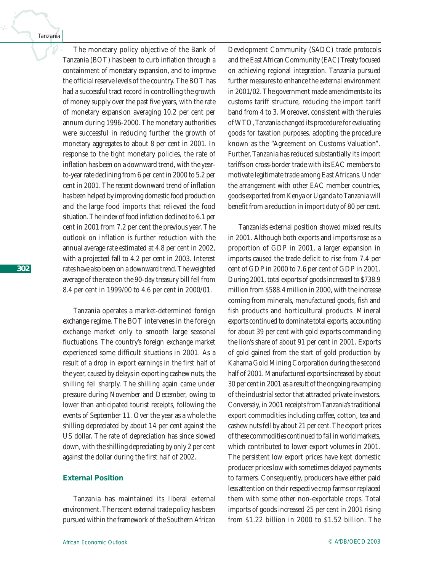*302*

The monetary policy objective of the Bank of Tanzania (BOT) has been to curb inflation through a containment of monetary expansion, and to improve the official reserve levels of the country. The BOT has had a successful tract record in controlling the growth of money supply over the past five years, with the rate of monetary expansion averaging 10.2 per cent per annum during 1996-2000. The monetary authorities were successful in reducing further the growth of monetary aggregates to about 8 per cent in 2001. In response to the tight monetary policies, the rate of inflation has been on a downward trend, with the yearto-year rate declining from 6 per cent in 2000 to 5.2 per cent in 2001. The recent downward trend of inflation has been helped by improving domestic food production and the large food imports that relieved the food situation. The index of food inflation declined to 6.1 per cent in 2001 from 7.2 per cent the previous year. The outlook on inflation is further reduction with the annual average rate estimated at 4.8 per cent in 2002, with a projected fall to 4.2 per cent in 2003. Interest rates have also been on a downward trend. The weighted average of the rate on the 90-day treasury bill fell from 8.4 per cent in 1999/00 to 4.6 per cent in 2000/01.

Tanzania operates a market-determined foreign exchange regime. The BOT intervenes in the foreign exchange market only to smooth large seasonal fluctuations. The country's foreign exchange market experienced some difficult situations in 2001. As a result of a drop in export earnings in the first half of the year, caused by delays in exporting cashew nuts, the shilling fell sharply. The shilling again came under pressure during November and December, owing to lower than anticipated tourist receipts, following the events of September 11. Over the year as a whole the shilling depreciated by about 14 per cent against the US dollar. The rate of depreciation has since slowed down, with the shilling depreciating by only 2 per cent against the dollar during the first half of 2002.

# *External Position*

Tanzania has maintained its liberal external environment. The recent external trade policy has been pursued within the framework of the Southern African

Development Community (SADC) trade protocols and the East African Community (EAC) Treaty focused on achieving regional integration. Tanzania pursued further measures to enhance the external environment in 2001/02. The government made amendments to its customs tariff structure, reducing the import tariff band from 4 to 3. Moreover, consistent with the rules of WTO, Tanzania changed its procedure for evaluating goods for taxation purposes, adopting the procedure known as the "Agreement on Customs Valuation". Further, Tanzania has reduced substantially its import tariffs on cross-border trade with its EAC members to motivate legitimate trade among East Africans. Under the arrangement with other EAC member countries, goods exported from Kenya or Uganda to Tanzania will benefit from a reduction in import duty of 80 per cent.

Tanzania's external position showed mixed results in 2001. Although both exports and imports rose as a proportion of GDP in 2001, a larger expansion in imports caused the trade deficit to rise from 7.4 per cent of GDP in 2000 to 7.6 per cent of GDP in 2001. During 2001, total exports of goods increased to \$738.9 million from \$588.4 million in 2000, with the increase coming from minerals, manufactured goods, fish and fish products and horticultural products. Mineral exports continued to dominate total exports, accounting for about 39 per cent with gold exports commanding the lion's share of about 91 per cent in 2001. Exports of gold gained from the start of gold production by Kahama Gold Mining Corporation during the second half of 2001. Manufactured exports increased by about 30 per cent in 2001 as a result of the ongoing revamping of the industrial sector that attracted private investors. Conversely, in 2001 receipts from Tanzania's traditional export commodities including coffee, cotton, tea and cashew nuts fell by about 21 per cent. The export prices of these commodities continued to fall in world markets, which contributed to lower export volumes in 2001. The persistent low export prices have kept domestic producer prices low with sometimes delayed payments to farmers. Consequently, producers have either paid less attention on their respective crop farms or replaced them with some other non-exportable crops. Total imports of goods increased 25 per cent in 2001 rising from \$1.22 billion in 2000 to \$1.52 billion. The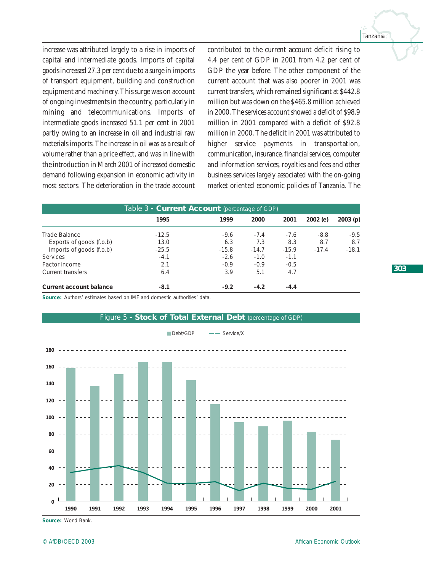Tanzania

increase was attributed largely to a rise in imports of capital and intermediate goods. Imports of capital goods increased 27.3 per cent due to a surge in imports of transport equipment, building and construction equipment and machinery. This surge was on account of ongoing investments in the country, particularly in mining and telecommunications. Imports of intermediate goods increased 51.1 per cent in 2001 partly owing to an increase in oil and industrial raw materials imports. The increase in oil was as a result of volume rather than a price effect, and was in line with the introduction in March 2001 of increased domestic demand following expansion in economic activity in most sectors. The deterioration in the trade account

contributed to the current account deficit rising to 4.4 per cent of GDP in 2001 from 4.2 per cent of GDP the year before. The other component of the current account that was also poorer in 2001 was current transfers, which remained significant at \$442.8 million but was down on the \$465.8 million achieved in 2000. The services account showed a deficit of \$98.9 million in 2001 compared with a deficit of \$92.8 million in 2000. The deficit in 2001 was attributed to higher service payments in transportation, communication, insurance, financial services, computer and information services, royalties and fees and other business services largely associated with the on-going market oriented economic policies of Tanzania. The

| Table 3 - <b>Current Account</b> (percentage of GDP) |         |         |         |         |         |         |  |
|------------------------------------------------------|---------|---------|---------|---------|---------|---------|--|
|                                                      | 1995    | 1999    | 2000    | 2001    | 2002(e) | 2003(p) |  |
| Trade Balance                                        | $-12.5$ | $-9.6$  | $-7.4$  | $-7.6$  | $-8.8$  | $-9.5$  |  |
| Exports of goods (f.o.b)                             | 13.0    | 6.3     | 7.3     | 8.3     | 8.7     | 8.7     |  |
| Imports of goods (f.o.b)                             | $-25.5$ | $-15.8$ | $-14.7$ | $-15.9$ | $-17.4$ | $-18.1$ |  |
| <b>Services</b>                                      | $-4.1$  | $-2.6$  | $-1.0$  | $-1.1$  |         |         |  |
| Factor income                                        | 2.1     | $-0.9$  | $-0.9$  | $-0.5$  |         |         |  |
| <b>Current transfers</b>                             | 6.4     | 3.9     | 5.1     | 4.7     |         |         |  |
| Current account balance                              | $-8.1$  | $-9.2$  | $-4.2$  | $-4.4$  |         |         |  |

**Source:** Authors' estimates based on IMF and domestic authorities' data.



**Source:** World Bank.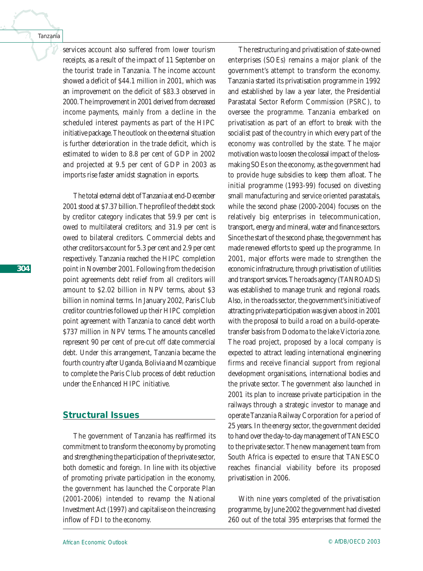services account also suffered from lower tourism receipts, as a result of the impact of 11 September on the tourist trade in Tanzania. The income account showed a deficit of \$44.1 million in 2001, which was an improvement on the deficit of \$83.3 observed in 2000. The improvement in 2001 derived from decreased income payments, mainly from a decline in the scheduled interest payments as part of the HIPC initiative package. The outlook on the external situation is further deterioration in the trade deficit, which is estimated to widen to 8.8 per cent of GDP in 2002 and projected at 9.5 per cent of GDP in 2003 as imports rise faster amidst stagnation in exports.

The total external debt of Tanzania at end-December 2001 stood at \$7.37 billion. The profile of the debt stock by creditor category indicates that 59.9 per cent is owed to multilateral creditors; and 31.9 per cent is owed to bilateral creditors. Commercial debts and other creditors account for 5.3 per cent and 2.9 per cent respectively. Tanzania reached the HIPC completion point in November 2001. Following from the decision point agreements debt relief from all creditors will amount to \$2.02 billion in NPV terms, about \$3 billion in nominal terms. In January 2002, Paris Club creditor countries followed up their HIPC completion point agreement with Tanzania to cancel debt worth \$737 million in NPV terms. The amounts cancelled represent 90 per cent of pre-cut off date commercial debt. Under this arrangement, Tanzania became the fourth country after Uganda, Bolivia and Mozambique to complete the Paris Club process of debt reduction under the Enhanced HIPC initiative.

# **Structural Issues**

The government of Tanzania has reaffirmed its commitment to transform the economy by promoting and strengthening the participation of the private sector, both domestic and foreign. In line with its objective of promoting private participation in the economy, the government has launched the Corporate Plan (2001-2006) intended to revamp the National Investment Act (1997) and capitalise on the increasing inflow of FDI to the economy.

The restructuring and privatisation of state-owned enterprises (SOEs) remains a major plank of the government's attempt to transform the economy. Tanzania started its privatisation programme in 1992 and established by law a year later, the Presidential Parastatal Sector Reform Commission (PSRC), to oversee the programme. Tanzania embarked on privatisation as part of an effort to break with the socialist past of the country in which every part of the economy was controlled by the state. The major motivation was to loosen the colossal impact of the lossmaking SOEs on the economy, as the government had to provide huge subsidies to keep them afloat. The initial programme (1993-99) focused on divesting small manufacturing and service oriented parastatals, while the second phase (2000-2004) focuses on the relatively big enterprises in telecommunication, transport, energy and mineral, water and finance sectors. Since the start of the second phase, the government has made renewed efforts to speed up the programme. In 2001, major efforts were made to strengthen the economic infrastructure, through privatisation of utilities and transport services. The roads agency (TANROADS) was established to manage trunk and regional roads. Also, in the roads sector, the government's initiative of attracting private participation was given a boost in 2001 with the proposal to build a road on a build-operatetransfer basis from Dodoma to the lake Victoria zone. The road project, proposed by a local company is expected to attract leading international engineering firms and receive financial support from regional development organisations, international bodies and the private sector. The government also launched in 2001 its plan to increase private participation in the railways through a strategic investor to manage and operate Tanzania Railway Corporation for a period of 25 years. In the energy sector, the government decided to hand over the day-to-day management of TANESCO to the private sector. The new management team from South Africa is expected to ensure that TANESCO reaches financial viability before its proposed privatisation in 2006.

With nine years completed of the privatisation programme, by June 2002 the government had divested 260 out of the total 395 enterprises that formed the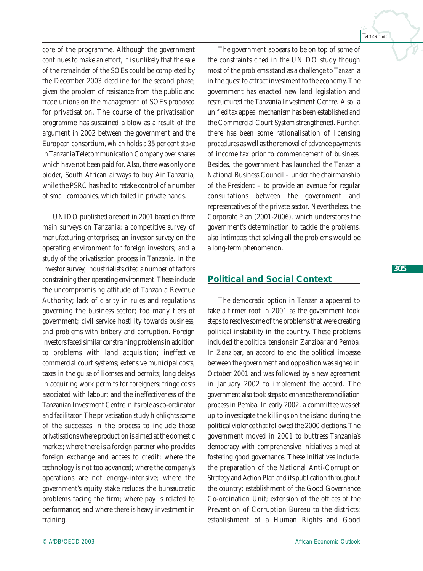core of the programme. Although the government continues to make an effort, it is unlikely that the sale of the remainder of the SOEs could be completed by the December 2003 deadline for the second phase, given the problem of resistance from the public and trade unions on the management of SOEs proposed for privatisation. The course of the privatisation programme has sustained a blow as a result of the argument in 2002 between the government and the European consortium, which holds a 35 per cent stake in Tanzania Telecommunication Company over shares which have not been paid for. Also, there was only one bidder, South African airways to buy Air Tanzania, while the PSRC has had to retake control of a number of small companies, which failed in private hands.

UNIDO published a report in 2001 based on three main surveys on Tanzania: a competitive survey of manufacturing enterprises; an investor survey on the operating environment for foreign investors; and a study of the privatisation process in Tanzania. In the investor survey, industrialists cited a number of factors constraining their operating environment. These include the uncompromising attitude of Tanzania Revenue Authority; lack of clarity in rules and regulations governing the business sector; too many tiers of government; civil service hostility towards business; and problems with bribery and corruption. Foreign investors faced similar constraining problems in addition to problems with land acquisition; ineffective commercial court systems; extensive municipal costs, taxes in the guise of licenses and permits; long delays in acquiring work permits for foreigners; fringe costs associated with labour; and the ineffectiveness of the Tanzanian Investment Centre in its role as co-ordinator and facilitator. The privatisation study highlights some of the successes in the process to include those privatisations where production is aimed at the domestic market; where there is a foreign partner who provides foreign exchange and access to credit; where the technology is not too advanced; where the company's operations are not energy-intensive; where the government's equity stake reduces the bureaucratic problems facing the firm; where pay is related to performance; and where there is heavy investment in training.

The government appears to be on top of some of the constraints cited in the UNIDO study though most of the problems stand as a challenge to Tanzania in the quest to attract investment to the economy. The government has enacted new land legislation and restructured the Tanzania Investment Centre. Also, a unified tax appeal mechanism has been established and the Commercial Court System strengthened. Further, there has been some rationalisation of licensing procedures as well as the removal of advance payments of income tax prior to commencement of business. Besides, the government has launched the Tanzania National Business Council – under the chairmanship of the President – to provide an avenue for regular consultations between the government and representatives of the private sector. Nevertheless, the Corporate Plan (2001-2006), which underscores the government's determination to tackle the problems, also intimates that solving all the problems would be a long-term phenomenon.

# **Political and Social Context**

The democratic option in Tanzania appeared to take a firmer root in 2001 as the government took steps to resolve some of the problems that were creating political instability in the country. These problems included the political tensions in Zanzibar and Pemba. In Zanzibar, an accord to end the political impasse between the government and opposition was signed in October 2001 and was followed by a new agreement in January 2002 to implement the accord. The government also took steps to enhance the reconciliation process in Pemba. In early 2002, a committee was set up to investigate the killings on the island during the political violence that followed the 2000 elections. The government moved in 2001 to buttress Tanzania's democracy with comprehensive initiatives aimed at fostering good governance. These initiatives include, the preparation of the National Anti-Corruption Strategy and Action Plan and its publication throughout the country; establishment of the Good Governance Co-ordination Unit; extension of the offices of the Prevention of Corruption Bureau to the districts; establishment of a Human Rights and Good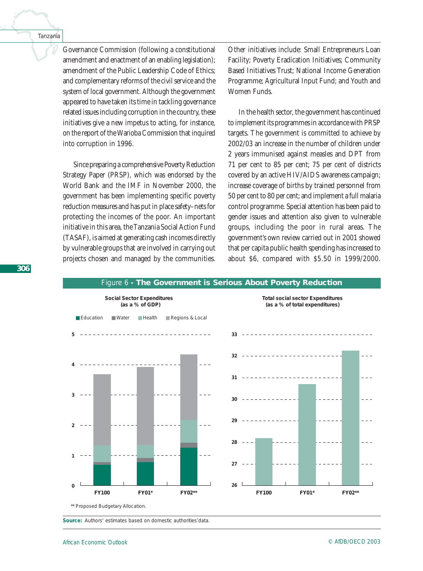Governance Commission (following a constitutional amendment and enactment of an enabling legislation); amendment of the Public Leadership Code of Ethics; and complementary reforms of the civil service and the system of local government. Although the government appeared to have taken its time in tackling governance related issues including corruption in the country, these initiatives give a new impetus to acting, for instance, on the report of the Warioba Commission that inquired into corruption in 1996.

Since preparing a comprehensive Poverty Reduction Strategy Paper (PRSP), which was endorsed by the World Bank and the IMF in November 2000, the government has been implementing specific poverty reduction measures and has put in place safety–nets for protecting the incomes of the poor. An important initiative in this area, the Tanzania Social Action Fund (TASAF), is aimed at generating cash incomes directly by vulnerable groups that are involved in carrying out projects chosen and managed by the communities.

Other initiatives include: Small Entrepreneurs Loan Facility; Poverty Eradication Initiatives; Community Based Initiatives Trust; National Income Generation Programme; Agricultural Input Fund; and Youth and Women Funds.

In the health sector, the government has continued to implement its programmes in accordance with PRSP targets. The government is committed to achieve by 2002/03 an increase in the number of children under 2 years immunised against measles and DPT from 71 per cent to 85 per cent; 75 per cent of districts covered by an active HIV/AIDS awareness campaign; increase coverage of births by trained personnel from 50 per cent to 80 per cent; and implement a full malaria control programme. Special attention has been paid to gender issues and attention also given to vulnerable groups, including the poor in rural areas. The government's own review carried out in 2001 showed that per capita public health spending has increased to about \$6, compared with \$5.50 in 1999/2000.



# Figure 6 **- The Government is Serious About Poverty Reduction**

**Source:** Authors' estimates based on domestic authorities'data.